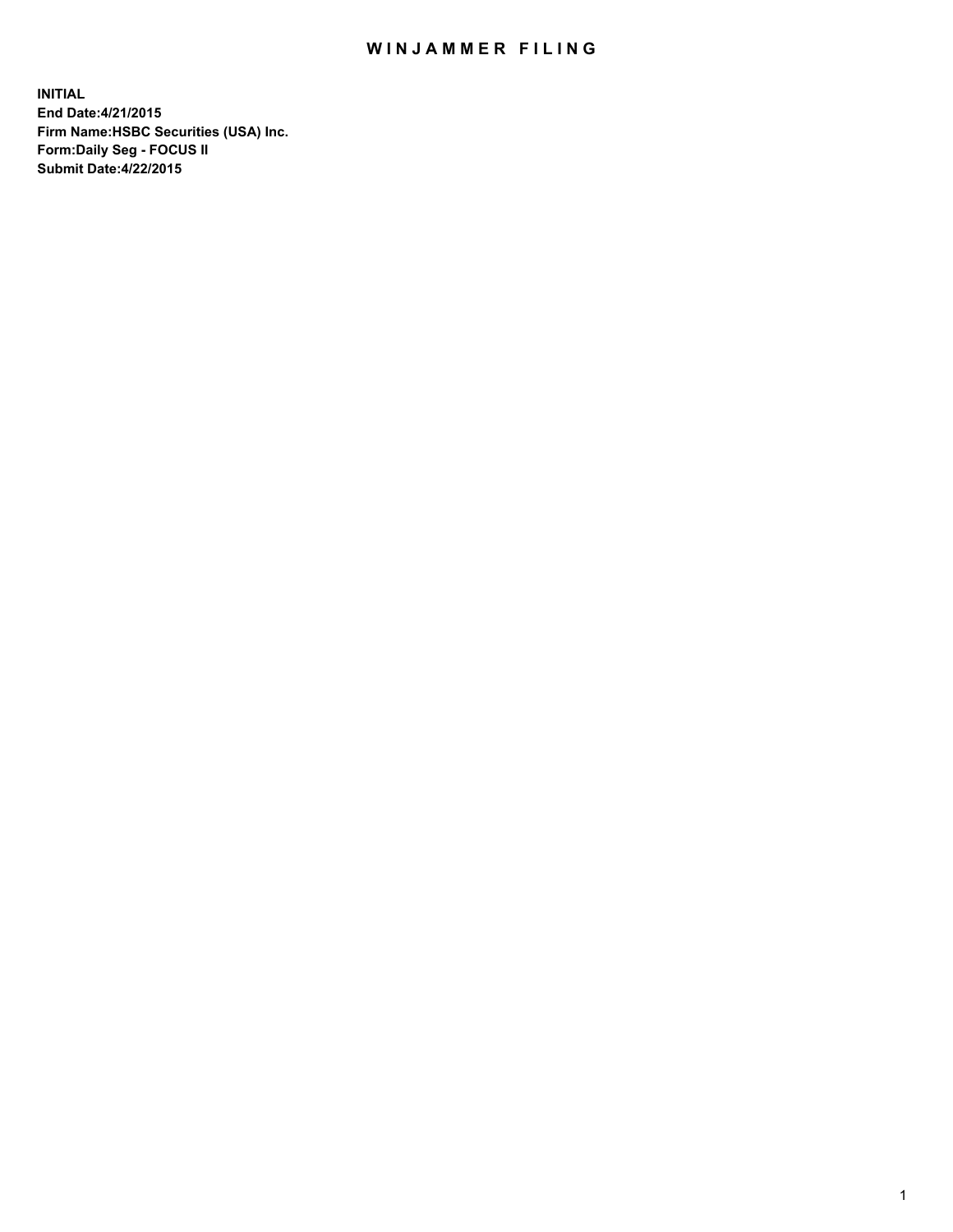## WIN JAMMER FILING

**INITIAL End Date:4/21/2015 Firm Name:HSBC Securities (USA) Inc. Form:Daily Seg - FOCUS II Submit Date:4/22/2015**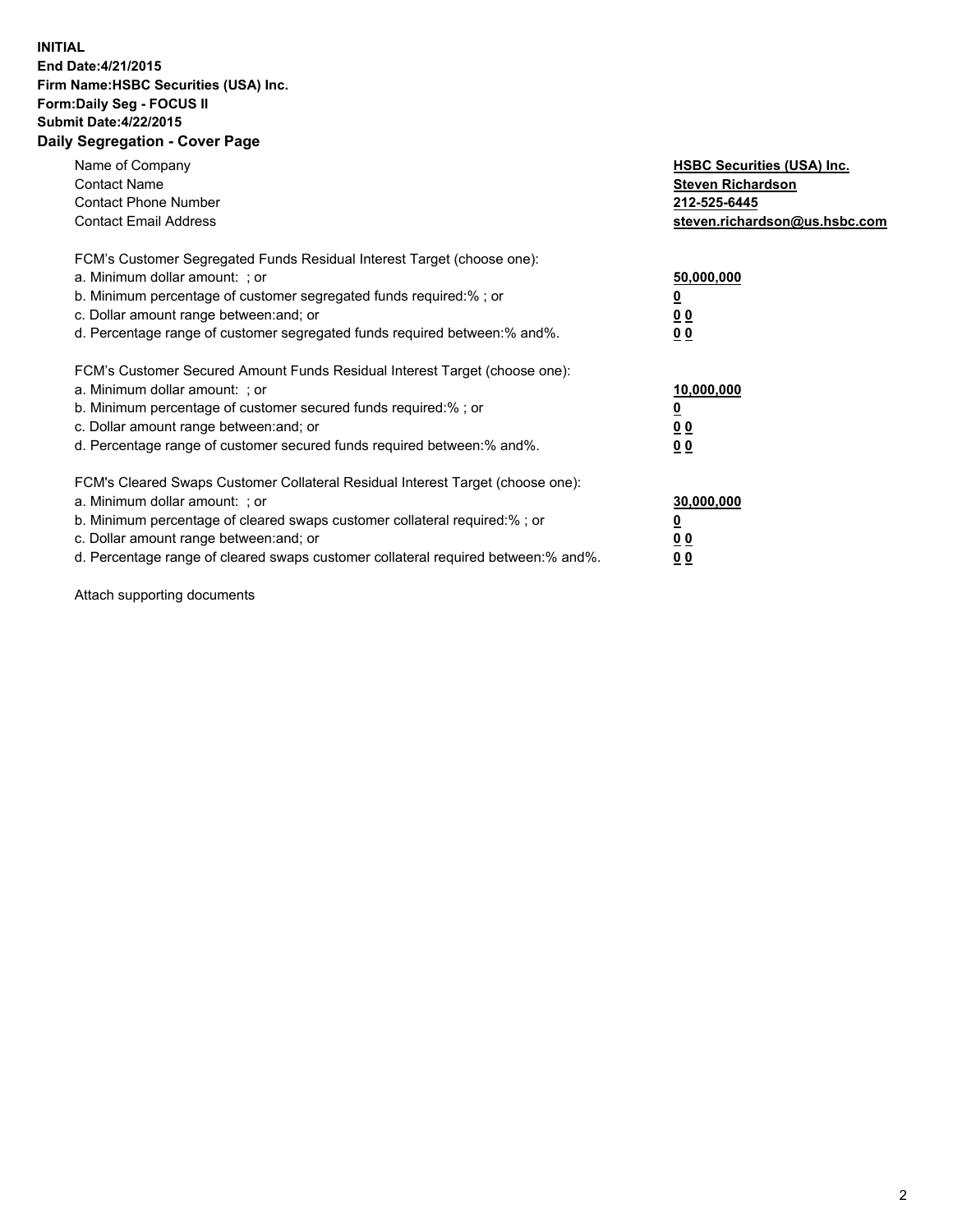## **INITIAL End Date:4/21/2015 Firm Name:HSBC Securities (USA) Inc. Form:Daily Seg - FOCUS II Submit Date:4/22/2015 Daily Segregation - Cover Page**

| Name of Company<br><b>Contact Name</b><br><b>Contact Phone Number</b><br><b>Contact Email Address</b>                                                                                                                                                                                                                          | <b>HSBC Securities (USA) Inc.</b><br><b>Steven Richardson</b><br>212-525-6445<br>steven.richardson@us.hsbc.com |
|--------------------------------------------------------------------------------------------------------------------------------------------------------------------------------------------------------------------------------------------------------------------------------------------------------------------------------|----------------------------------------------------------------------------------------------------------------|
| FCM's Customer Segregated Funds Residual Interest Target (choose one):<br>a. Minimum dollar amount: ; or<br>b. Minimum percentage of customer segregated funds required:%; or<br>c. Dollar amount range between: and; or<br>d. Percentage range of customer segregated funds required between: % and %.                        | 50,000,000<br>0 <sub>0</sub><br>0 <sub>0</sub>                                                                 |
| FCM's Customer Secured Amount Funds Residual Interest Target (choose one):<br>a. Minimum dollar amount: ; or<br>b. Minimum percentage of customer secured funds required:%; or<br>c. Dollar amount range between: and; or<br>d. Percentage range of customer secured funds required between:% and%.                            | 10,000,000<br><u>0</u><br>0 <sub>0</sub><br>0 <sub>0</sub>                                                     |
| FCM's Cleared Swaps Customer Collateral Residual Interest Target (choose one):<br>a. Minimum dollar amount: ; or<br>b. Minimum percentage of cleared swaps customer collateral required:% ; or<br>c. Dollar amount range between: and; or<br>d. Percentage range of cleared swaps customer collateral required between:% and%. | 30,000,000<br>00<br><u>00</u>                                                                                  |

Attach supporting documents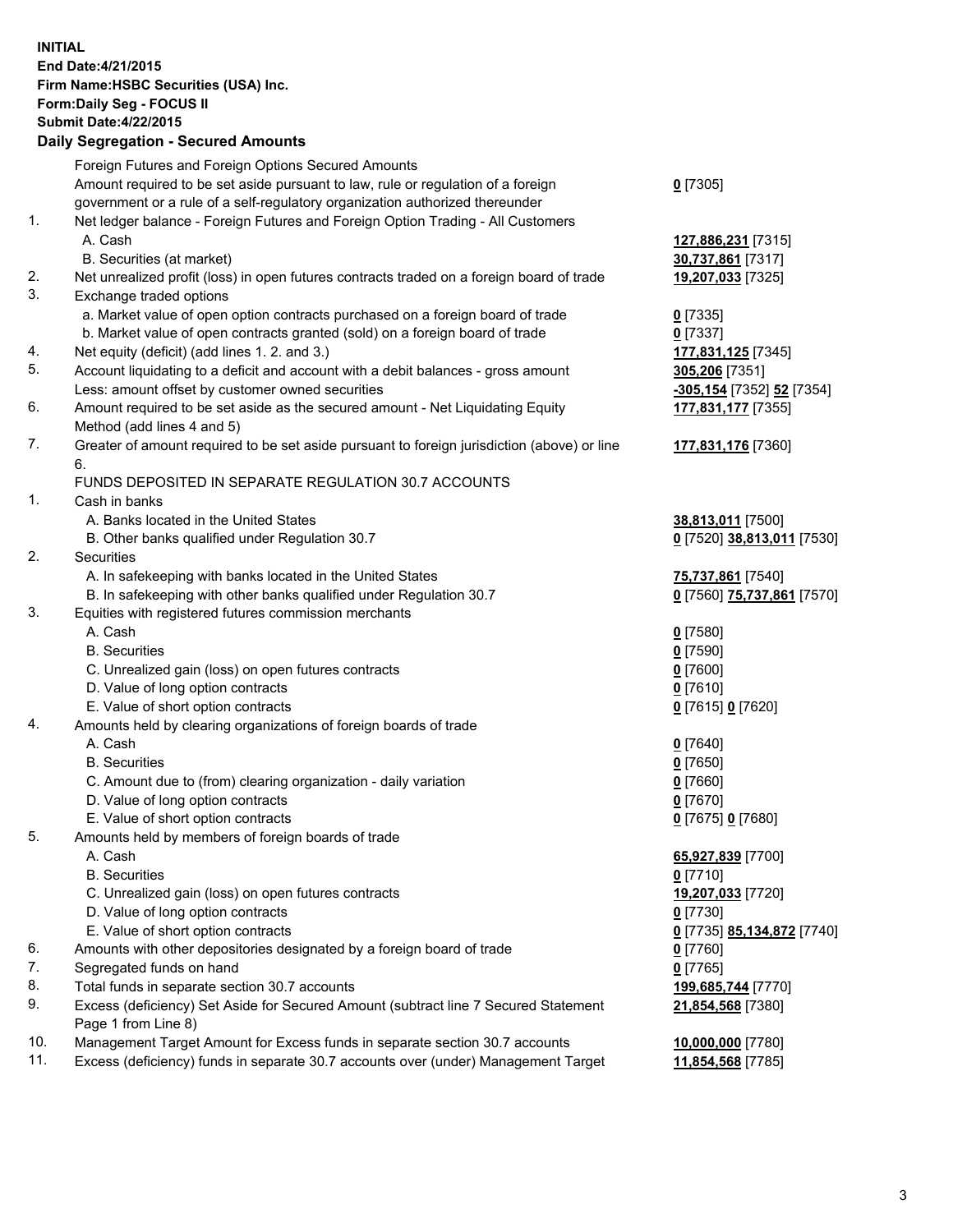**INITIAL End Date:4/21/2015 Firm Name:HSBC Securities (USA) Inc. Form:Daily Seg - FOCUS II Submit Date:4/22/2015 Daily Segregation - Secured Amounts**

Foreign Futures and Foreign Options Secured Amounts Amount required to be set aside pursuant to law, rule or regulation of a foreign government or a rule of a self-regulatory organization authorized thereunder **0** [7305] 1. Net ledger balance - Foreign Futures and Foreign Option Trading - All Customers A. Cash **127,886,231** [7315] B. Securities (at market) **30,737,861** [7317] 2. Net unrealized profit (loss) in open futures contracts traded on a foreign board of trade **19,207,033** [7325] 3. Exchange traded options a. Market value of open option contracts purchased on a foreign board of trade **0** [7335] b. Market value of open contracts granted (sold) on a foreign board of trade **0** [7337] 4. Net equity (deficit) (add lines 1. 2. and 3.) **177,831,125** [7345] 5. Account liquidating to a deficit and account with a debit balances - gross amount **305,206** [7351] Less: amount offset by customer owned securities **-305,154** [7352] **52** [7354] 6. Amount required to be set aside as the secured amount - Net Liquidating Equity Method (add lines 4 and 5) **177,831,177** [7355] 7. Greater of amount required to be set aside pursuant to foreign jurisdiction (above) or line 6. **177,831,176** [7360] FUNDS DEPOSITED IN SEPARATE REGULATION 30.7 ACCOUNTS 1. Cash in banks A. Banks located in the United States **38,813,011** [7500] B. Other banks qualified under Regulation 30.7 **0** [7520] **38,813,011** [7530] 2. Securities A. In safekeeping with banks located in the United States **75,737,861** [7540] B. In safekeeping with other banks qualified under Regulation 30.7 **0** [7560] **75,737,861** [7570] 3. Equities with registered futures commission merchants A. Cash **0** [7580] B. Securities **0** [7590] C. Unrealized gain (loss) on open futures contracts **0** [7600] D. Value of long option contracts **0** [7610] E. Value of short option contracts **0** [7615] **0** [7620] 4. Amounts held by clearing organizations of foreign boards of trade A. Cash **0** [7640] B. Securities **0** [7650] C. Amount due to (from) clearing organization - daily variation **0** [7660] D. Value of long option contracts **0** [7670] E. Value of short option contracts **0** [7675] **0** [7680] 5. Amounts held by members of foreign boards of trade A. Cash **65,927,839** [7700] B. Securities **0** [7710] C. Unrealized gain (loss) on open futures contracts **19,207,033** [7720] D. Value of long option contracts **0** [7730] E. Value of short option contracts **0** [7735] **85,134,872** [7740] 6. Amounts with other depositories designated by a foreign board of trade **0** [7760] 7. Segregated funds on hand **0** [7765] 8. Total funds in separate section 30.7 accounts **199,685,744** [7770] 9. Excess (deficiency) Set Aside for Secured Amount (subtract line 7 Secured Statement Page 1 from Line 8) **21,854,568** [7380] 10. Management Target Amount for Excess funds in separate section 30.7 accounts **10,000,000** [7780] 11. Excess (deficiency) funds in separate 30.7 accounts over (under) Management Target **11,854,568** [7785]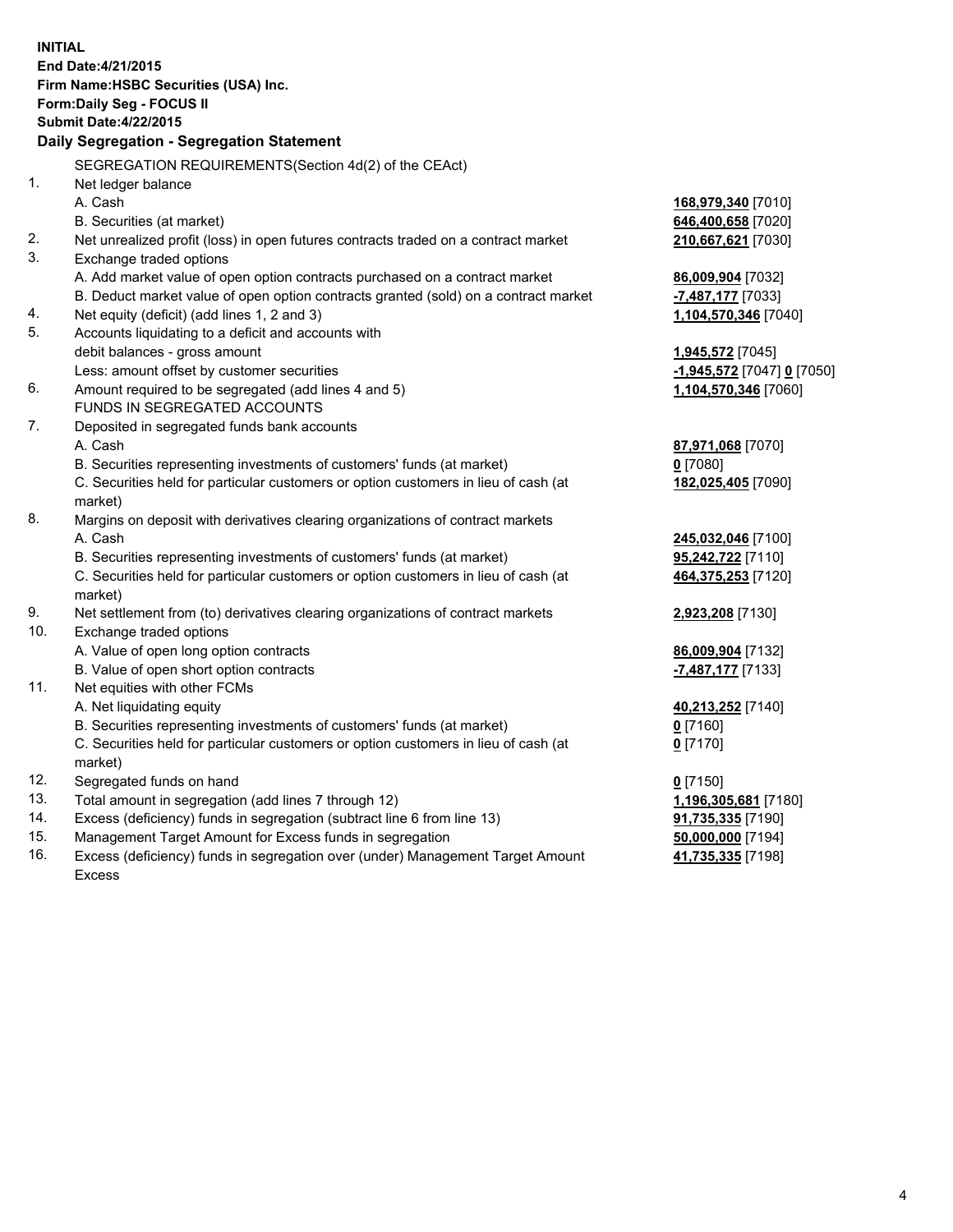|          | <b>INITIAL</b><br>End Date: 4/21/2015<br>Firm Name: HSBC Securities (USA) Inc.<br>Form: Daily Seg - FOCUS II<br><b>Submit Date:4/22/2015</b><br>Daily Segregation - Segregation Statement |                                |
|----------|-------------------------------------------------------------------------------------------------------------------------------------------------------------------------------------------|--------------------------------|
|          |                                                                                                                                                                                           |                                |
|          | SEGREGATION REQUIREMENTS(Section 4d(2) of the CEAct)                                                                                                                                      |                                |
| 1.       | Net ledger balance                                                                                                                                                                        |                                |
|          | A. Cash                                                                                                                                                                                   | 168,979,340 [7010]             |
|          | B. Securities (at market)                                                                                                                                                                 | 646,400,658 [7020]             |
| 2.<br>3. | Net unrealized profit (loss) in open futures contracts traded on a contract market<br>Exchange traded options                                                                             | 210,667,621 [7030]             |
|          | A. Add market value of open option contracts purchased on a contract market                                                                                                               | 86,009,904 [7032]              |
|          | B. Deduct market value of open option contracts granted (sold) on a contract market                                                                                                       | <mark>-7,487,177</mark> [7033] |
| 4.       | Net equity (deficit) (add lines 1, 2 and 3)                                                                                                                                               | 1,104,570,346 [7040]           |
| 5.       | Accounts liquidating to a deficit and accounts with                                                                                                                                       |                                |
|          | debit balances - gross amount                                                                                                                                                             | 1,945,572 [7045]               |
|          | Less: amount offset by customer securities                                                                                                                                                | $-1,945,572$ [7047] 0 [7050]   |
| 6.       | Amount required to be segregated (add lines 4 and 5)                                                                                                                                      | 1,104,570,346 [7060]           |
|          | FUNDS IN SEGREGATED ACCOUNTS                                                                                                                                                              |                                |
| 7.       | Deposited in segregated funds bank accounts                                                                                                                                               |                                |
|          | A. Cash                                                                                                                                                                                   | 87,971,068 [7070]              |
|          | B. Securities representing investments of customers' funds (at market)                                                                                                                    | $0$ [7080]                     |
|          | C. Securities held for particular customers or option customers in lieu of cash (at                                                                                                       | 182,025,405 [7090]             |
| 8.       | market)<br>Margins on deposit with derivatives clearing organizations of contract markets                                                                                                 |                                |
|          | A. Cash                                                                                                                                                                                   |                                |
|          |                                                                                                                                                                                           | 245,032,046 [7100]             |
|          | B. Securities representing investments of customers' funds (at market)                                                                                                                    | 95,242,722 [7110]              |
|          | C. Securities held for particular customers or option customers in lieu of cash (at<br>market)                                                                                            | 464,375,253 [7120]             |
| 9.       | Net settlement from (to) derivatives clearing organizations of contract markets                                                                                                           | 2,923,208 [7130]               |
| 10.      | Exchange traded options                                                                                                                                                                   |                                |
|          | A. Value of open long option contracts                                                                                                                                                    | 86,009,904 [7132]              |
|          | B. Value of open short option contracts                                                                                                                                                   | -7,487,177 [7133]              |
| 11.      | Net equities with other FCMs                                                                                                                                                              |                                |
|          | A. Net liquidating equity                                                                                                                                                                 | 40,213,252 [7140]              |
|          | B. Securities representing investments of customers' funds (at market)                                                                                                                    | $0$ [7160]                     |
|          | C. Securities held for particular customers or option customers in lieu of cash (at<br>market)                                                                                            | 0 <sup>[7170]</sup>            |
| 12.      | Segregated funds on hand                                                                                                                                                                  | $0$ [7150]                     |
| 13.      | Total amount in segregation (add lines 7 through 12)                                                                                                                                      | 1,196,305,681 [7180]           |
| 14.      | Excess (deficiency) funds in segregation (subtract line 6 from line 13)                                                                                                                   | 91,735,335 [7190]              |
| 15.      | Management Target Amount for Excess funds in segregation                                                                                                                                  | 50,000,000 [7194]              |
| 16.      | Excess (deficiency) funds in segregation over (under) Management Target Amount                                                                                                            | 41,735,335 [7198]              |

Excess